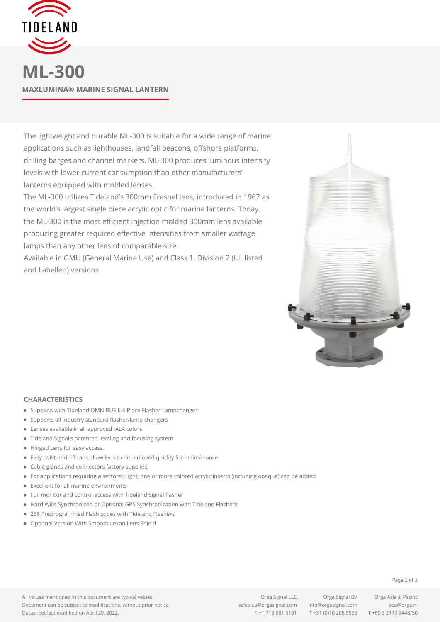

**ML-300 MAXLUMINA® MARINE SIGNAL LANTERN**

The lightweight and durable ML-300 is suitable for a wide range of marine applications such as lighthouses, landfall beacons, offshore platforms, drilling barges and channel markers. ML-300 produces luminous intensity levels with lower current consumption than other manufacturers' lanterns equipped with molded lenses.

The ML-300 utilizes Tideland's 300mm Fresnel lens, introduced in 1967 as the world's largest single piece acrylic optic for marine lanterns. Today, the ML-300 is the most efficient injection molded 300mm lens available producing greater required effective intensities from smaller wattage lamps than any other lens of comparable size.

Available in GMU (General Marine Use) and Class 1, Division 2 (UL listed and Labelled) versions



## **CHARACTERISTICS**

- Supplied with Tideland OMNIBUS II 6 Place Flasher Lampchanger
- Supports all industry standard flasher/lamp changers
- Lenses available in all approved IALA colors
- Tideland Signal's patented leveling and focusing system
- Hinged Lens for easy access.
- Easy twist-and-lift tabs allow lens to be removed quickly for maintenance
- Cable glands and connectors factory supplied
- For applications requiring a sectored light, one or more colored acrylic inserts (including opaque) can be added
- Excellent for all marine environments
- Full monitor and control access with Tideland Signal flasher
- Hard Wire Synchronized or Optional GPS Synchronization with Tideland Flashers
- 256 Preprogrammed Flash codes with Tideland Flashers
- Optional Version With Smooth Lexan Lens Shield

All values mentioned in this document are typical values. Document can be subject to modifications, without prior notice. Datasheet last modified on April 29, 2022.

[sales-us@orgasignal.com](mailto:sales-us@orgasignal.com) [info@orgasignal.com](mailto:info@orgasignal.com) [sea@orga.nl](mailto:sales-us@orgasignal.com)

T +1 713 681 6101 T +31 (0)10 208 5555 T +60 3 2110 9448/50

Orga Signal LLC Orga Signal BV Orga Asia & Pacific

## Page 1 of 3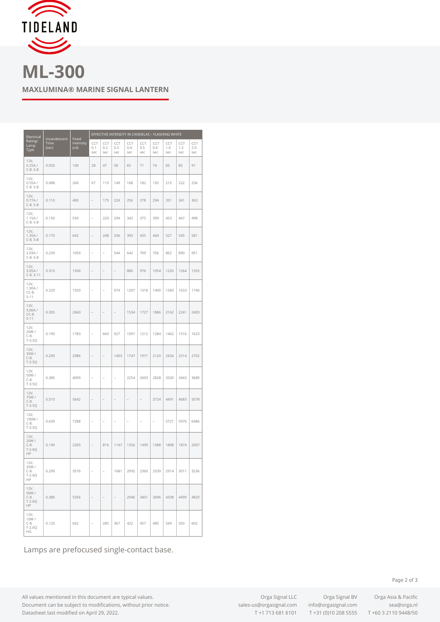

**ML-300 MAXLUMINA® MARINE SIGNAL LANTERN**

| Electrical<br>Rating/<br>Lamp<br>Type      | Incandescent<br>Time<br>(sec) | Fixed<br>Intensity<br>(cd) | EFFECTIVE INTENSITY IN CANDELAS - FLASHING WHITE |                          |                          |                   |                          |                   |                   |                   |                   |
|--------------------------------------------|-------------------------------|----------------------------|--------------------------------------------------|--------------------------|--------------------------|-------------------|--------------------------|-------------------|-------------------|-------------------|-------------------|
|                                            |                               |                            | CCT<br>0.1<br>sec                                | CCT<br>0.2<br>sec        | CCT<br>0.3<br>sec        | CCT<br>0.4<br>sec | CCT<br>0.5<br>sec        | CCT<br>0.6<br>sec | CCT<br>1.0<br>sec | CCT<br>1.2<br>sec | CCT<br>2.0<br>sec |
| 12V,<br>0.25A/<br>$C-8. S-8$               | 0.050                         | 100                        | 28                                               | 47                       | 58                       | 65                | 71                       | 74                | 83                | 85                | 91                |
| 12V,<br>0.55A/<br>$C-8. S-8$               | 0.088                         | 260                        | 67                                               | 119                      | 149                      | 168               | 182                      | 192               | 215               | 222               | 236               |
| 12V,<br>0.77A/<br>$C-8. S-8$               | 0.110                         | 400                        | i.                                               | 175                      | 224                      | 256               | 278                      | 294               | 331               | 341               | 363               |
| 12V,<br>1.15A/<br>$C-8. S-8$               | 0.150                         | 550                        | L.                                               | 220                      | 294                      | 342               | 375                      | 399               | 453               | 467               | 498               |
| 12V,<br>1.35A/<br>$C-8. S-8$               | 0.170                         | 642                        | $\overline{a}$                                   | 248                      | 336                      | 395               | 435                      | 464               | 527               | 545               | 581               |
| 12V,<br>2.03A/<br>$C-8. S-8$               | 0.230                         | 1050                       | i.                                               | L,                       | 544                      | 642               | 709                      | 756               | 862               | 890               | 951               |
| 12V,<br>3.05A/<br>$C-8. S-11$              | 0.310                         | 1500                       | i,                                               | ÷                        | $\overline{\phantom{a}}$ | 880               | 976                      | 1054              | 1220              | 1264              | 1355              |
| 12V,<br>1.90A/<br>$CC-8.$<br>$S-11$        | 0.220                         | 1920                       | ÷                                                | ÷                        | 974                      | 1207              | 1318                     | 1400              | 1583              | 1633              | 1740              |
| 12V,<br>3.00A/<br>$CC-8.$<br>$S-11$        | 0.305                         | 2660                       | i,                                               | í.                       | i.                       | 1534              | 1727                     | 1866              | 2162              | 2241              | 2403              |
| 12V,<br>20W/<br>$C-8.$<br>$T - 3.5Q$       | 0.190                         | 1783                       | i,                                               | 660                      | 927                      | 1097              | 1212                     | 1284              | 1462              | 1516              | 1623              |
| 12V,<br>35W/<br>$C-8.$<br>$T-3.5Q$         | 0.290                         | 2986                       | $\overline{a}$                                   | i,                       | 1403                     | 1747              | 1971                     | 2120              | 2434              | 2514              | 2702              |
| 12V,<br>50W/<br>$C-8.$<br>$T-3.5Q$         | 0.380                         | 4099                       | ÷                                                |                          |                          | 2254              | 2603                     | 2828              | 3320              | 3443              | 3689              |
| 12V,<br>75W/<br>$C-8.$<br>$T-3.5Q$         | 0.510                         | 5642                       | i,                                               | ÷                        | $\overline{\phantom{a}}$ | -                 | $\overline{\phantom{a}}$ | 3724              | 4491              | 4683              | 5078              |
| 12V,<br>100W/<br>$C-8.$<br>$T-3.5Q$        | 0.630                         | 7288                       | ٠                                                |                          |                          |                   |                          |                   | 5721              | 5976              | 6486              |
| 12V,<br>20W/<br>$C-8.$<br>$T-2.6Q$<br>HP   | 0.190                         | 2205                       | $\overline{a}$                                   | 816                      | 1147                     | 1356              | 1499                     | 1588              | 1808              | 1874              | 2007              |
| 12V,<br>35W/<br>$C-8.$<br>$T - 2.60$<br>HP | 0.290                         | 3576                       | $\overline{\phantom{a}}$                         | $\bar{z}$                | 1681                     | 2092              | 2360                     | 2539              | 2914              | 3011              | 3236              |
| 12V,<br>50W/<br>$C-8.$<br>$T-2.6Q$<br>HP   | 0.380                         | 5356                       | $\frac{1}{2}$                                    | $\overline{\phantom{a}}$ | $\sim$                   | 2946              | 3401                     | 3696              | 4338              | 4499              | 4820              |
| 12V,<br>10W/<br>$C-8.$<br>$T-2.6Q$<br>ΗG   | 0.120                         | 662                        | $\sim$                                           | 285                      | 367                      | 422               | 457                      | 485               | 549               | 563               | 602               |

Lamps are prefocused single-contact base.

All values mentioned in this document are typical values. Document can be subject to modifications, without prior notice. Datasheet last modified on April 29, 2022.

Orga Signal LLC Orga Signal BV Orga Asia & Pacific T +1 713 681 6101 T +31 (0)10 208 5555 T +60 3 2110 9448/50

Page 2 of 3